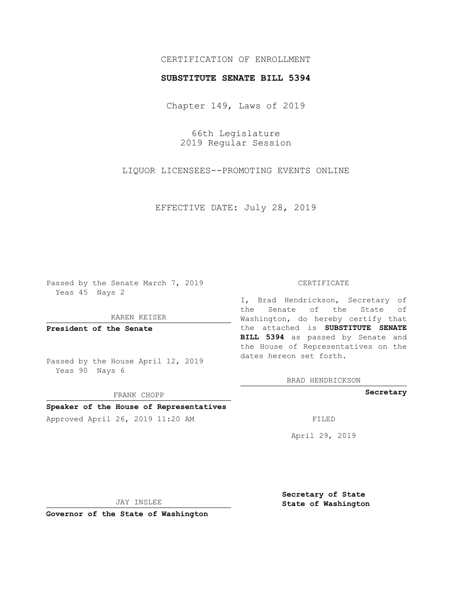# CERTIFICATION OF ENROLLMENT

## **SUBSTITUTE SENATE BILL 5394**

Chapter 149, Laws of 2019

66th Legislature 2019 Regular Session

LIQUOR LICENSEES--PROMOTING EVENTS ONLINE

EFFECTIVE DATE: July 28, 2019

Passed by the Senate March 7, 2019 Yeas 45 Nays 2

KAREN KEISER

**President of the Senate**

Passed by the House April 12, 2019 Yeas 90 Nays 6

FRANK CHOPP

## **Speaker of the House of Representatives**

Approved April 26, 2019 11:20 AM FILED

#### CERTIFICATE

I, Brad Hendrickson, Secretary of the Senate of the State of Washington, do hereby certify that the attached is **SUBSTITUTE SENATE BILL 5394** as passed by Senate and the House of Representatives on the dates hereon set forth.

BRAD HENDRICKSON

**Secretary**

April 29, 2019

JAY INSLEE

**Governor of the State of Washington**

**Secretary of State State of Washington**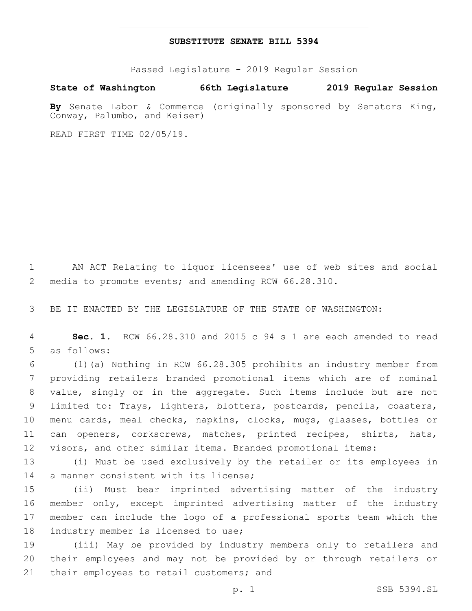## **SUBSTITUTE SENATE BILL 5394**

Passed Legislature - 2019 Regular Session

**State of Washington 66th Legislature 2019 Regular Session**

**By** Senate Labor & Commerce (originally sponsored by Senators King, Conway, Palumbo, and Keiser)

READ FIRST TIME 02/05/19.

 AN ACT Relating to liquor licensees' use of web sites and social media to promote events; and amending RCW 66.28.310.

BE IT ENACTED BY THE LEGISLATURE OF THE STATE OF WASHINGTON:

 **Sec. 1.** RCW 66.28.310 and 2015 c 94 s 1 are each amended to read 5 as follows:

 (1)(a) Nothing in RCW 66.28.305 prohibits an industry member from providing retailers branded promotional items which are of nominal value, singly or in the aggregate. Such items include but are not limited to: Trays, lighters, blotters, postcards, pencils, coasters, menu cards, meal checks, napkins, clocks, mugs, glasses, bottles or can openers, corkscrews, matches, printed recipes, shirts, hats, visors, and other similar items. Branded promotional items:

 (i) Must be used exclusively by the retailer or its employees in 14 a manner consistent with its license;

 (ii) Must bear imprinted advertising matter of the industry member only, except imprinted advertising matter of the industry member can include the logo of a professional sports team which the 18 industry member is licensed to use;

 (iii) May be provided by industry members only to retailers and their employees and may not be provided by or through retailers or 21 their employees to retail customers; and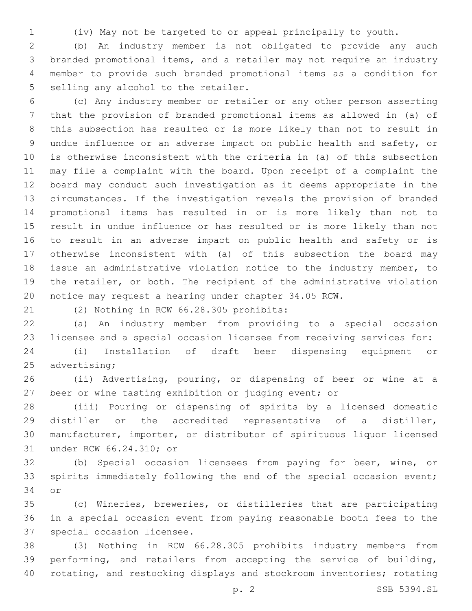(iv) May not be targeted to or appeal principally to youth.

 (b) An industry member is not obligated to provide any such branded promotional items, and a retailer may not require an industry member to provide such branded promotional items as a condition for 5 selling any alcohol to the retailer.

 (c) Any industry member or retailer or any other person asserting that the provision of branded promotional items as allowed in (a) of this subsection has resulted or is more likely than not to result in undue influence or an adverse impact on public health and safety, or is otherwise inconsistent with the criteria in (a) of this subsection may file a complaint with the board. Upon receipt of a complaint the board may conduct such investigation as it deems appropriate in the circumstances. If the investigation reveals the provision of branded promotional items has resulted in or is more likely than not to result in undue influence or has resulted or is more likely than not to result in an adverse impact on public health and safety or is otherwise inconsistent with (a) of this subsection the board may issue an administrative violation notice to the industry member, to the retailer, or both. The recipient of the administrative violation notice may request a hearing under chapter 34.05 RCW.

(2) Nothing in RCW 66.28.305 prohibits:21

 (a) An industry member from providing to a special occasion licensee and a special occasion licensee from receiving services for:

 (i) Installation of draft beer dispensing equipment or 25 advertising;

 (ii) Advertising, pouring, or dispensing of beer or wine at a beer or wine tasting exhibition or judging event; or

 (iii) Pouring or dispensing of spirits by a licensed domestic distiller or the accredited representative of a distiller, manufacturer, importer, or distributor of spirituous liquor licensed 31 under RCW 66.24.310; or

 (b) Special occasion licensees from paying for beer, wine, or spirits immediately following the end of the special occasion event; 34 or

 (c) Wineries, breweries, or distilleries that are participating in a special occasion event from paying reasonable booth fees to the 37 special occasion licensee.

 (3) Nothing in RCW 66.28.305 prohibits industry members from performing, and retailers from accepting the service of building, rotating, and restocking displays and stockroom inventories; rotating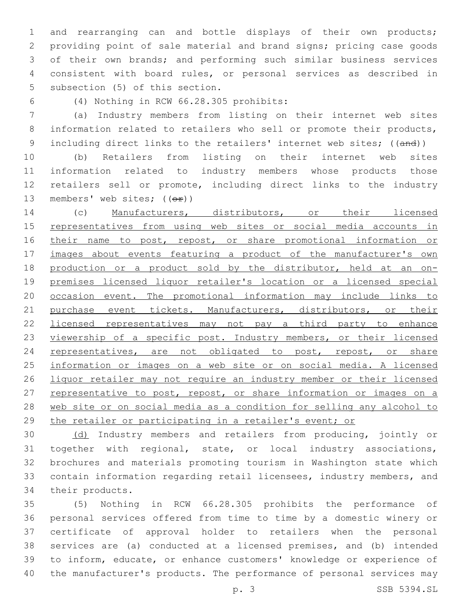and rearranging can and bottle displays of their own products; providing point of sale material and brand signs; pricing case goods of their own brands; and performing such similar business services consistent with board rules, or personal services as described in 5 subsection (5) of this section.

(4) Nothing in RCW 66.28.305 prohibits:6

 (a) Industry members from listing on their internet web sites information related to retailers who sell or promote their products, 9 including direct links to the retailers' internet web sites; ((and))

 (b) Retailers from listing on their internet web sites information related to industry members whose products those retailers sell or promote, including direct links to the industry 13 members' web sites;  $((\theta \cdot \hat{r}))$ 

 (c) Manufacturers, distributors, or their licensed 15 representatives from using web sites or social media accounts in 16 their name to post, repost, or share promotional information or 17 images about events featuring a product of the manufacturer's own production or a product sold by the distributor, held at an on- premises licensed liquor retailer's location or a licensed special occasion event. The promotional information may include links to purchase event tickets. Manufacturers, distributors, or their 22 licensed representatives may not pay a third party to enhance 23 viewership of a specific post. Industry members, or their licensed 24 representatives, are not obligated to post, repost, or share information or images on a web site or on social media. A licensed liquor retailer may not require an industry member or their licensed 27 representative to post, repost, or share information or images on a web site or on social media as a condition for selling any alcohol to 29 the retailer or participating in a retailer's event; or

 (d) Industry members and retailers from producing, jointly or together with regional, state, or local industry associations, brochures and materials promoting tourism in Washington state which contain information regarding retail licensees, industry members, and 34 their products.

 (5) Nothing in RCW 66.28.305 prohibits the performance of personal services offered from time to time by a domestic winery or certificate of approval holder to retailers when the personal services are (a) conducted at a licensed premises, and (b) intended to inform, educate, or enhance customers' knowledge or experience of the manufacturer's products. The performance of personal services may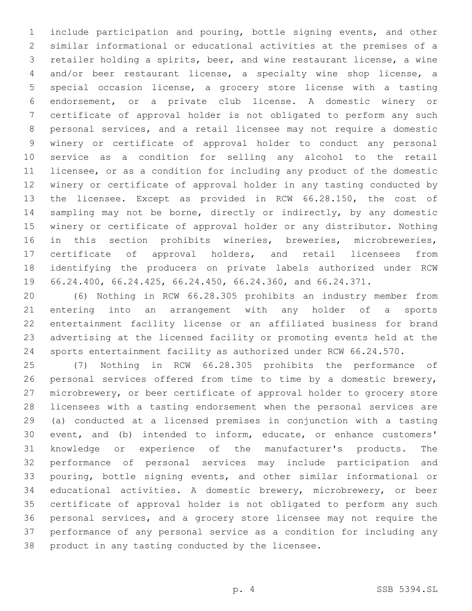include participation and pouring, bottle signing events, and other similar informational or educational activities at the premises of a retailer holding a spirits, beer, and wine restaurant license, a wine and/or beer restaurant license, a specialty wine shop license, a special occasion license, a grocery store license with a tasting endorsement, or a private club license. A domestic winery or certificate of approval holder is not obligated to perform any such personal services, and a retail licensee may not require a domestic winery or certificate of approval holder to conduct any personal service as a condition for selling any alcohol to the retail licensee, or as a condition for including any product of the domestic winery or certificate of approval holder in any tasting conducted by the licensee. Except as provided in RCW 66.28.150, the cost of sampling may not be borne, directly or indirectly, by any domestic winery or certificate of approval holder or any distributor. Nothing in this section prohibits wineries, breweries, microbreweries, certificate of approval holders, and retail licensees from identifying the producers on private labels authorized under RCW 66.24.400, 66.24.425, 66.24.450, 66.24.360, and 66.24.371.

 (6) Nothing in RCW 66.28.305 prohibits an industry member from entering into an arrangement with any holder of a sports entertainment facility license or an affiliated business for brand advertising at the licensed facility or promoting events held at the sports entertainment facility as authorized under RCW 66.24.570.

 (7) Nothing in RCW 66.28.305 prohibits the performance of personal services offered from time to time by a domestic brewery, microbrewery, or beer certificate of approval holder to grocery store licensees with a tasting endorsement when the personal services are (a) conducted at a licensed premises in conjunction with a tasting event, and (b) intended to inform, educate, or enhance customers' knowledge or experience of the manufacturer's products. The performance of personal services may include participation and pouring, bottle signing events, and other similar informational or educational activities. A domestic brewery, microbrewery, or beer certificate of approval holder is not obligated to perform any such personal services, and a grocery store licensee may not require the performance of any personal service as a condition for including any 38 product in any tasting conducted by the licensee.